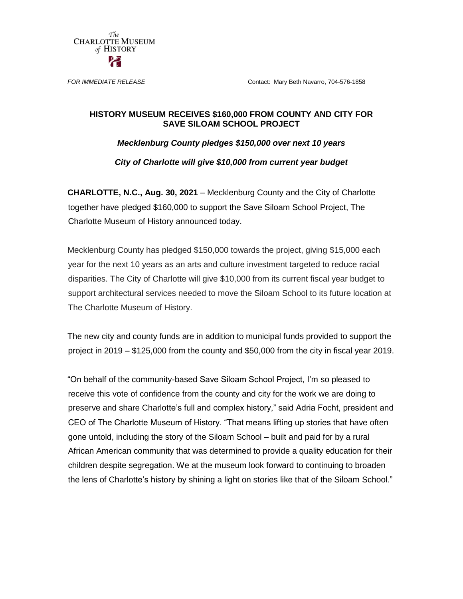The **CHARLOTTE MUSEUM** of HISTORY

*FOR IMMEDIATE RELEASE* Contact: Mary Beth Navarro, 704-576-1858

## **HISTORY MUSEUM RECEIVES \$160,000 FROM COUNTY AND CITY FOR SAVE SILOAM SCHOOL PROJECT**

*Mecklenburg County pledges \$150,000 over next 10 years*

*City of Charlotte will give \$10,000 from current year budget*

**CHARLOTTE, N.C., Aug. 30, 2021** – Mecklenburg County and the City of Charlotte together have pledged \$160,000 to support the Save Siloam School Project, The Charlotte Museum of History announced today.

Mecklenburg County has pledged \$150,000 towards the project, giving \$15,000 each year for the next 10 years as an arts and culture investment targeted to reduce racial disparities. The City of Charlotte will give \$10,000 from its current fiscal year budget to support architectural services needed to move the Siloam School to its future location at The Charlotte Museum of History.

The new city and county funds are in addition to municipal funds provided to support the project in 2019 – \$125,000 from the county and \$50,000 from the city in fiscal year 2019.

"On behalf of the community-based Save Siloam School Project, I'm so pleased to receive this vote of confidence from the county and city for the work we are doing to preserve and share Charlotte's full and complex history," said Adria Focht, president and CEO of The Charlotte Museum of History. "That means lifting up stories that have often gone untold, including the story of the Siloam School – built and paid for by a rural African American community that was determined to provide a quality education for their children despite segregation. We at the museum look forward to continuing to broaden the lens of Charlotte's history by shining a light on stories like that of the Siloam School."